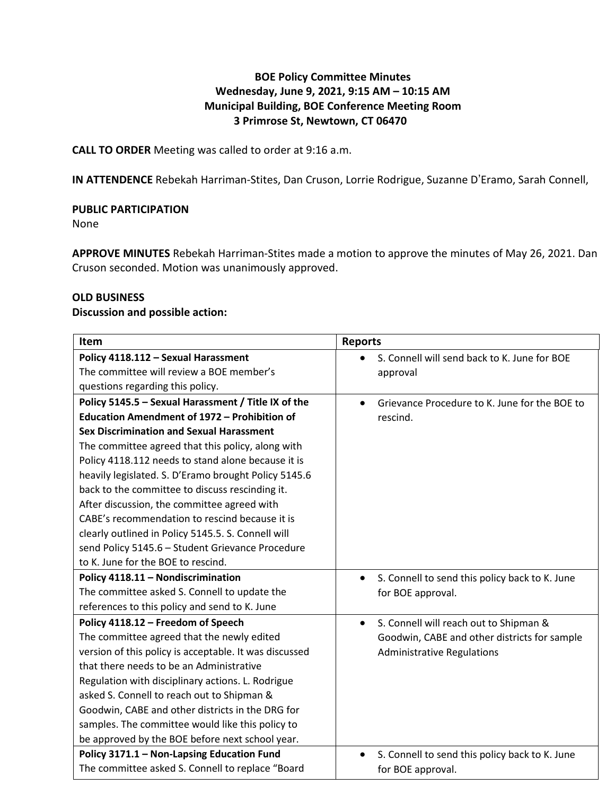# **BOE Policy Committee Minutes Wednesday, June 9, 2021, 9:15 AM – 10:15 AM Municipal Building, BOE Conference Meeting Room 3 Primrose St, Newtown, CT 06470**

**CALL TO ORDER** Meeting was called to order at 9:16 a.m.

**IN ATTENDENCE** Rebekah Harriman-Stites, Dan Cruson, Lorrie Rodrigue, Suzanne D'Eramo, Sarah Connell,

### **PUBLIC PARTICIPATION**

None

**APPROVE MINUTES** Rebekah Harriman-Stites made a motion to approve the minutes of May 26, 2021. Dan Cruson seconded. Motion was unanimously approved.

### **OLD BUSINESS**

### **Discussion and possible action:**

| Item                                                   | <b>Reports</b>                                              |
|--------------------------------------------------------|-------------------------------------------------------------|
| Policy 4118.112 - Sexual Harassment                    | S. Connell will send back to K. June for BOE                |
| The committee will review a BOE member's               | approval                                                    |
| questions regarding this policy.                       |                                                             |
| Policy 5145.5 - Sexual Harassment / Title IX of the    | Grievance Procedure to K. June for the BOE to               |
| <b>Education Amendment of 1972 - Prohibition of</b>    | rescind.                                                    |
| <b>Sex Discrimination and Sexual Harassment</b>        |                                                             |
| The committee agreed that this policy, along with      |                                                             |
| Policy 4118.112 needs to stand alone because it is     |                                                             |
| heavily legislated. S. D'Eramo brought Policy 5145.6   |                                                             |
| back to the committee to discuss rescinding it.        |                                                             |
| After discussion, the committee agreed with            |                                                             |
| CABE's recommendation to rescind because it is         |                                                             |
| clearly outlined in Policy 5145.5. S. Connell will     |                                                             |
| send Policy 5145.6 - Student Grievance Procedure       |                                                             |
| to K. June for the BOE to rescind.                     |                                                             |
| Policy 4118.11 - Nondiscrimination                     | S. Connell to send this policy back to K. June<br>$\bullet$ |
| The committee asked S. Connell to update the           | for BOE approval.                                           |
| references to this policy and send to K. June          |                                                             |
| Policy 4118.12 - Freedom of Speech                     | S. Connell will reach out to Shipman &<br>$\bullet$         |
| The committee agreed that the newly edited             | Goodwin, CABE and other districts for sample                |
| version of this policy is acceptable. It was discussed | <b>Administrative Regulations</b>                           |
| that there needs to be an Administrative               |                                                             |
| Regulation with disciplinary actions. L. Rodrigue      |                                                             |
| asked S. Connell to reach out to Shipman &             |                                                             |
| Goodwin, CABE and other districts in the DRG for       |                                                             |
| samples. The committee would like this policy to       |                                                             |
| be approved by the BOE before next school year.        |                                                             |
| Policy 3171.1 - Non-Lapsing Education Fund             | S. Connell to send this policy back to K. June              |
| The committee asked S. Connell to replace "Board       | for BOE approval.                                           |